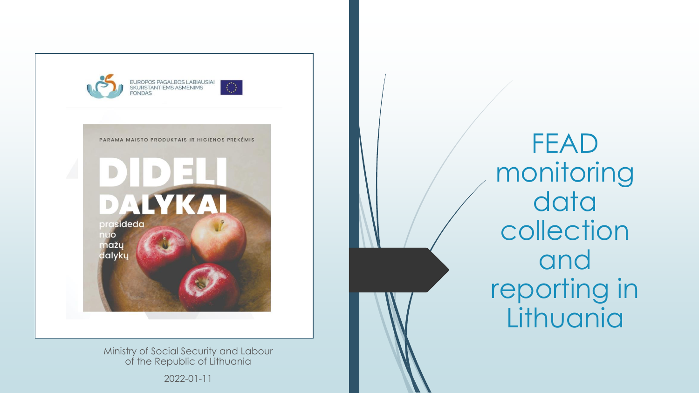

Ministry of Social Security and Labour of the Republic of Lithuania

2022 -01 -11

FEAD monitoring data collection and reporting in **Lithuania**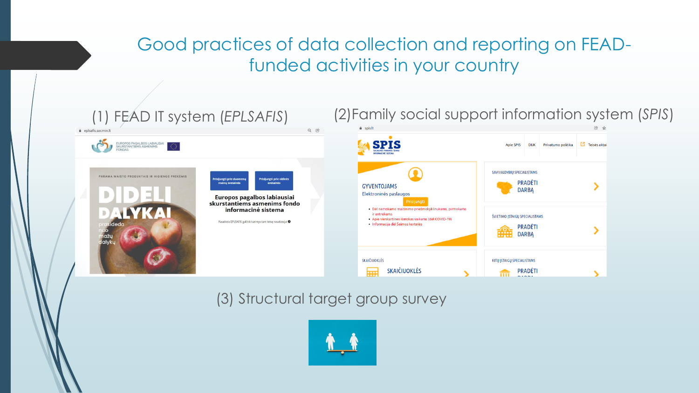# Good practices of data collection and reporting on FEADfunded activities in your country



#### (3) Structural target group survey

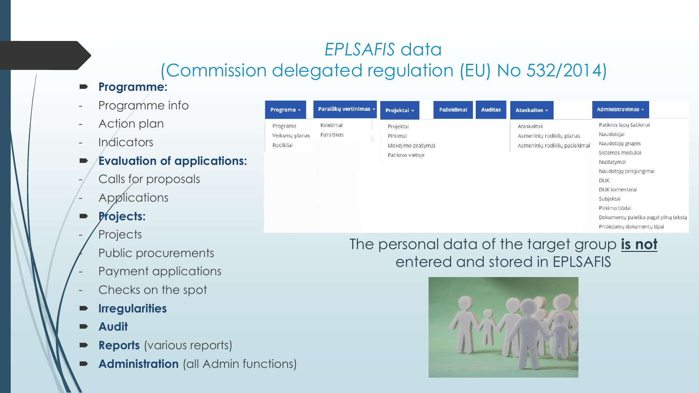# *EPLSAFIS* data (Commission delegated regulation (EU) No 532/2014)

- **Programme:**
- Programme info
- Action plan
- Indicators
- **Evaluation of applications:**
- Calls for proposals
- Applications
- **Projects:**
- **Projects** 
	- Public procurements
- Payment applications
- Checks on the spot
- **Irregularities**
- **Audit**
- **Reports** (various reports)
- **Administration** (all Admin functions)

| Programa -                              | Paraiškų vertinimas ~  | Projektai +                                                    | Pažeidimai | <b>Auditas</b> | Ataskaitos -                                                             | Administravimas ~                                                                                                                                                                                                                                         |
|-----------------------------------------|------------------------|----------------------------------------------------------------|------------|----------------|--------------------------------------------------------------------------|-----------------------------------------------------------------------------------------------------------------------------------------------------------------------------------------------------------------------------------------------------------|
| Programa<br>Veiksmų planas<br>Rodikliai | Kvietimai<br>Paraiškos | Projektai<br>Pirkimai<br>Mokėjimo prašymai<br>Patikros vietoje |            |                | Ataskaitos<br>Asmeninių rodiklių planas<br>Asmeninių rodiklių pasiekimai | Patikros lapų šablonai<br>Naudotojai<br>Naudotojų grupės<br>Sistemos moduliai<br>Nustatymai<br>Naudotojų prisijungimai<br><b>DUK</b><br>DUK komentarai<br>Subjektai<br>Pirkimo būdai<br>Dokumentų paieška pagal pilną tekstą<br>Pridedamų dokumentų tipai |

#### The personal data of the target group **is not**  entered and stored in EPLSAFIS

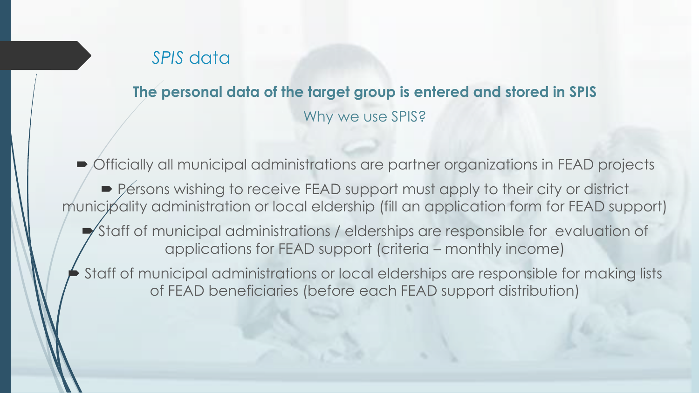#### *SPIS* data

**The personal data of the target group is entered and stored in SPIS** Why we use SPIS?

 Officially all municipal administrations are partner organizations in FEAD projects ■ Persons wishing to receive FEAD support must apply to their city or district municipality administration or local eldership (fill an application form for FEAD support) Staff of municipal administrations / elderships are responsible for evaluation of applications for FEAD support (criteria – monthly income) Staff of municipal administrations or local elderships are responsible for making lists of FEAD beneficiaries (before each FEAD support distribution)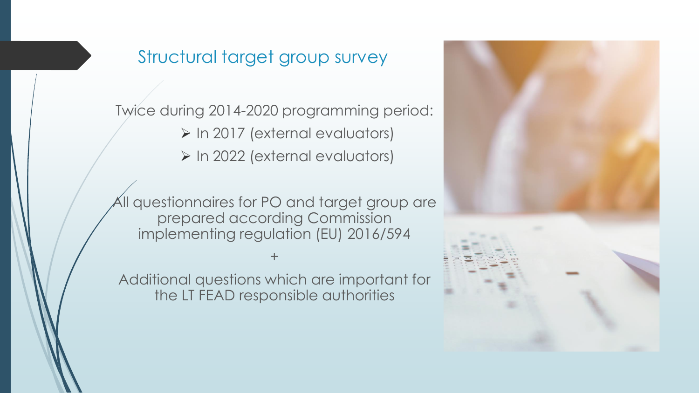## Structural target group survey

Twice during 2014-2020 programming period: ➢ In 2017 (external evaluators)

➢ In 2022 (external evaluators)

All questionnaires for PO and target group are prepared according Commission implementing regulation (EU) 2016/594

Additional questions which are important for the LT FEAD responsible authorities

+

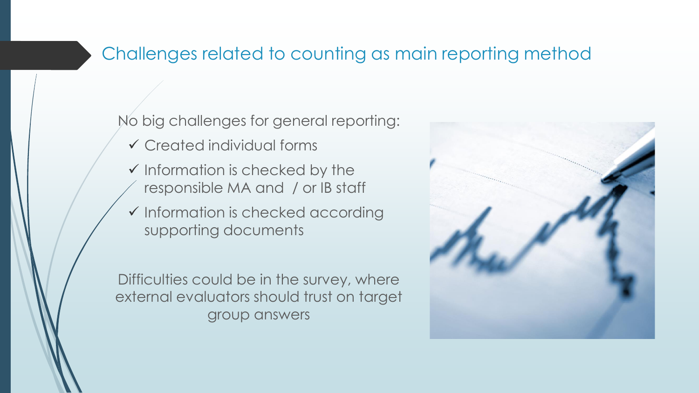# Challenges related to counting as main reporting method

No big challenges for general reporting:

- ✓ Created individual forms
- $\checkmark$  Information is checked by the responsible MA and / or IB staff
- ✓ Information is checked according supporting documents

Difficulties could be in the survey, where external evaluators should trust on target group answers

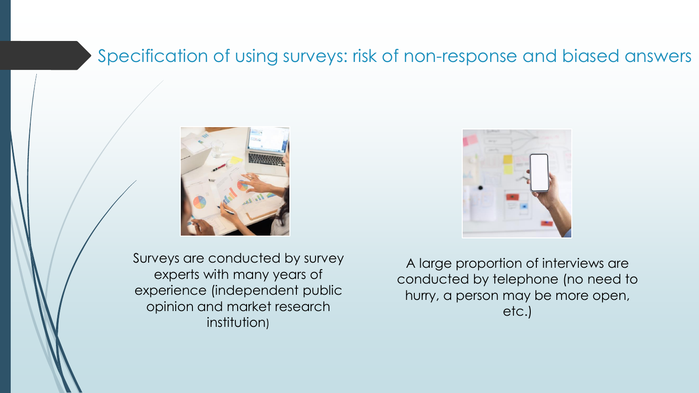## Specification of using surveys: risk of non-response and biased answers





Surveys are conducted by survey experts with many years of experience (independent public opinion and market research institution)

A large proportion of interviews are conducted by telephone (no need to hurry, a person may be more open, etc.)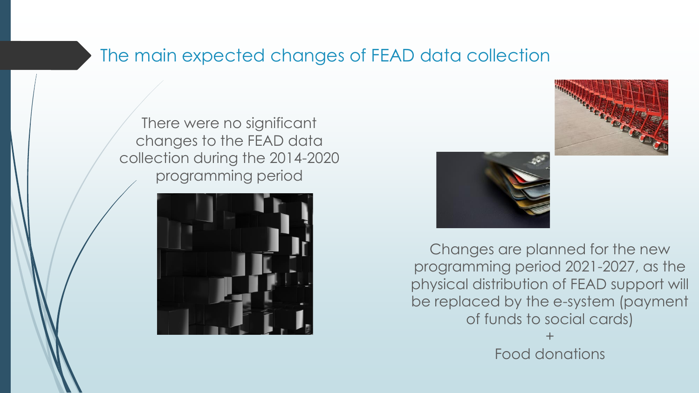#### The main expected changes of FEAD data collection

There were no significant changes to the FEAD data collection during the 2014-2020 programming period







Changes are planned for the new programming period 2021-2027, as the physical distribution of FEAD support will be replaced by the e-system (payment of funds to social cards) +

Food donations